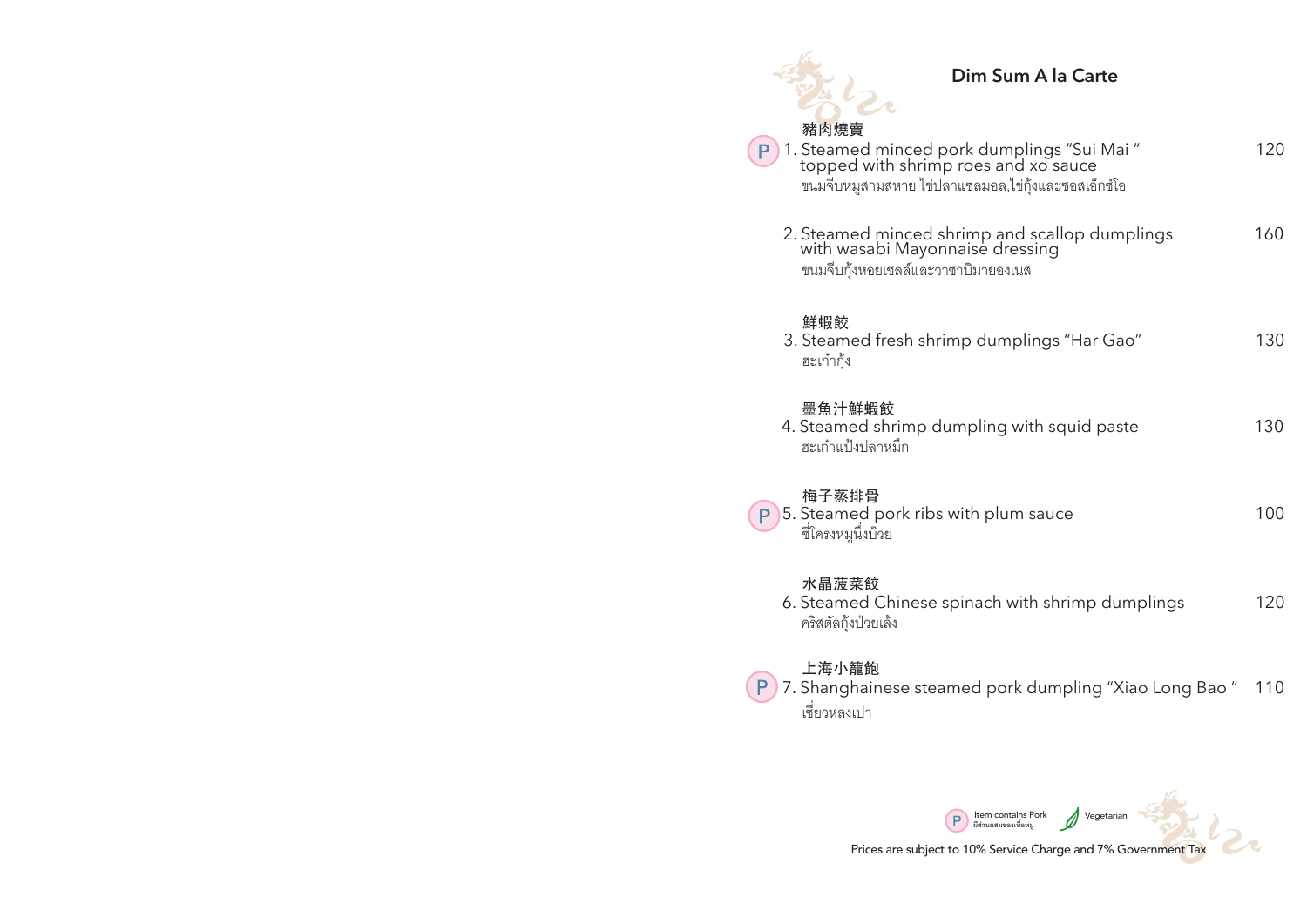| Dim Sum A la Carte                                                                                                                                |     |
|---------------------------------------------------------------------------------------------------------------------------------------------------|-----|
| 豬肉燒賣<br>1. Steamed minced pork dumplings "Sui Mai"<br>topped with shrimp roes and xo sauce<br>ขนมจีบหมูสามสหาย ไข่ปลาแซลมอล,ไข่กุ้งและซอสเอ็กซ์โอ | 120 |
| 2. Steamed minced shrimp and scallop dumplings<br>with wasabi Mayonnaise dressing<br>ขนมจีบกุ้งหอยเชลล์และวาซาบิมายองเนส                          | 160 |
| 鮮蝦餃<br>3. Steamed fresh shrimp dumplings "Har Gao"<br>ฮะเก๋ากุ้ง                                                                                  | 130 |
| 墨魚汁鮮蝦餃<br>4. Steamed shrimp dumpling with squid paste<br>ฮะเก๋าแป้งปลาหมึก                                                                        | 130 |
| 梅子蒸排骨<br>5. Steamed pork ribs with plum sauce<br>ซี่โครงหมูนึ่งบ๊วย                                                                               | 100 |
| 水晶菠菜餃<br>6. Steamed Chinese spinach with shrimp dumplings<br>คริสตัลกุ้งป่วยเล้ง                                                                  | 120 |
| 上海小籠飽<br>7. Shanghainese steamed pork dumpling "Xiao Long Bao"<br>เซี่ยวหลงเปา                                                                    | 110 |
|                                                                                                                                                   |     |

Prices are subject to 10% Service Charge and 7% Government Tax

Item contains Pork Vegetarian **มีสวนผสมของเนื้อหมู**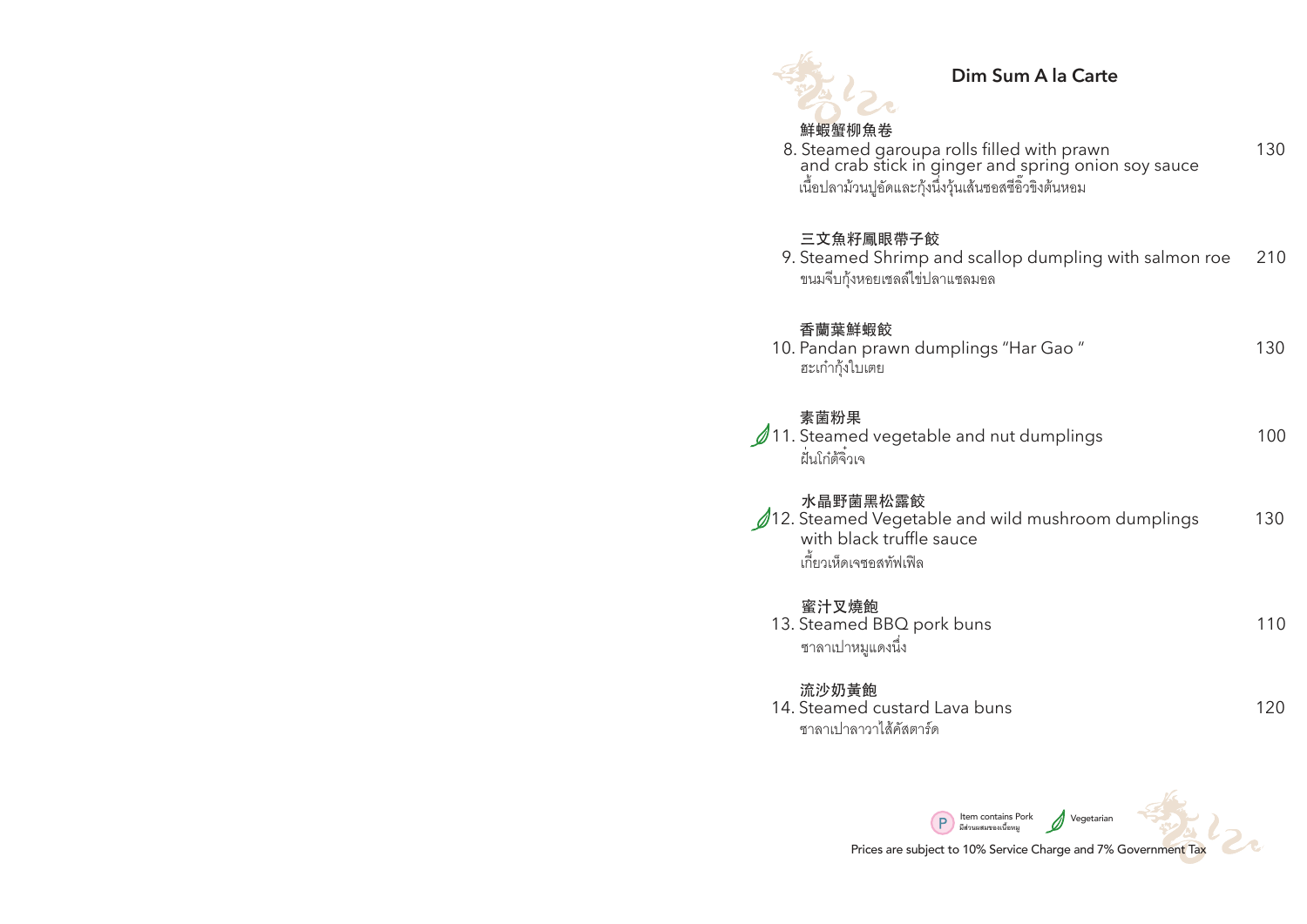

## **Dim Sum A la Carte**

### 鮮蝦蟹柳魚卷

เนื้อปลาม้วนปูอัดและกุ้งนึ่งวุ้นเส้นซอสซีอิวขิงต้นหอม 8. Steamed garoupa rolls filled with prawn 130 and crab stick in ginger and spring onion soy sauce

#### 三文魚籽鳳眼帶子餃

| 9. Steamed Shrimp and scallop dumpling with salmon roe | 210 |
|--------------------------------------------------------|-----|
| ขนมจีบกุ้งหอยเชลล์ไข่ปลาแซลมอล                         |     |

### 香蘭葉鮮蝦餃

| 10. Pandan prawn dumplings "Har Gao" | 130 |
|--------------------------------------|-----|
| ฮะเก๋ากุ้งใบเตย                      |     |

## 素菌粉果

|               | $\mathscr{D}$ 11. Steamed vegetable and nut dumplings | 100 |
|---------------|-------------------------------------------------------|-----|
| ฝันโก๋ต้จิวเจ |                                                       |     |

# 水晶野菌黑松露餃

| 12. Steamed Vegetable and wild mushroom dumplings | 130 |
|---------------------------------------------------|-----|
| with black truffle sauce                          |     |
| เกี้ยวเห็ดเจซอสทัฟเฟิล                            |     |

## 蜜汁叉燒飽

| 13. Steamed BBQ pork buns |  |
|---------------------------|--|
| ซาลาเปาหมูแดงนิ่ง         |  |

#### 流沙奶黃飽

14. Steamed custard Lava buns 120 ซาลาเปาลาวาไสคัสตารด

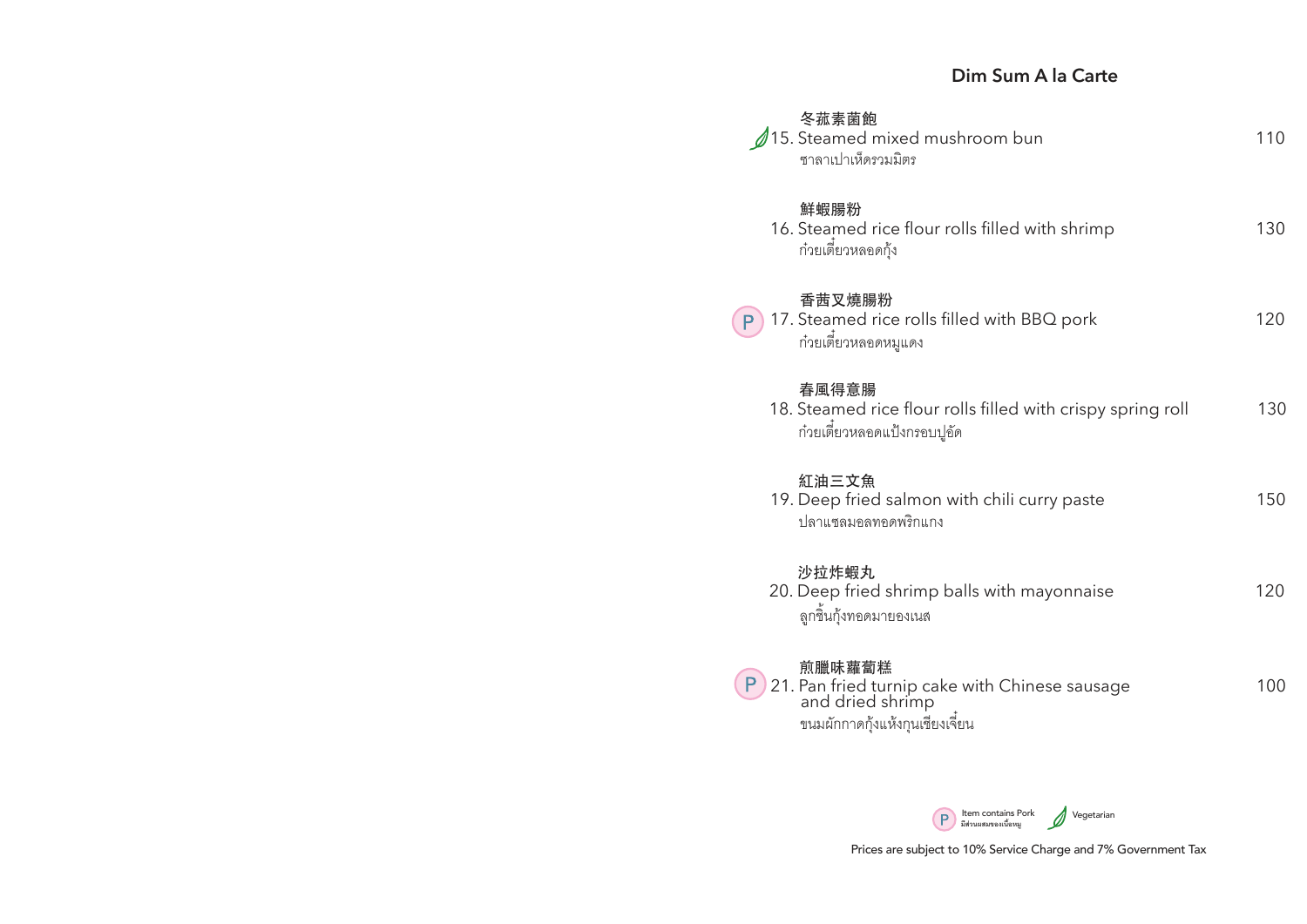### **Dim Sum A la Carte**

| 冬菰素菌飽<br>15. Steamed mixed mushroom bun<br>ซาลาเปาเห็ดรวมมิตร                                                   | 110 |
|-----------------------------------------------------------------------------------------------------------------|-----|
| 鮮蝦腸粉<br>16. Steamed rice flour rolls filled with shrimp<br>ก๋วยเตี๋ยวหลอดกุ้ง                                   | 130 |
| 香茜叉燒腸粉<br>17. Steamed rice rolls filled with BBQ pork<br>P<br>ก๋วยเตี๋ยวหลอดหมูแดง                              | 120 |
| 春風得意腸<br>18. Steamed rice flour rolls filled with crispy spring roll<br>ก๋วยเตี่ยวหลอดแป้งกรอบปูอัด             | 130 |
| 紅油三文魚<br>19. Deep fried salmon with chili curry paste<br>ปลาแซลมอลทอดพริกแกง                                    | 150 |
| 沙拉炸蝦丸<br>20. Deep fried shrimp balls with mayonnaise<br>ลูกชิ้นกุ้งทอดมายองเนส                                  | 120 |
| 煎臘味蘿蔔糕<br>21. Pan fried turnip cake with Chinese sausage<br>and dried shrimp<br>ขนมผักกาดกุ้งแห้งกุนเชียงเจี่ยน | 100 |

Item contains Pork Vegetarian **มีสวนผสมของเนื้อหมู**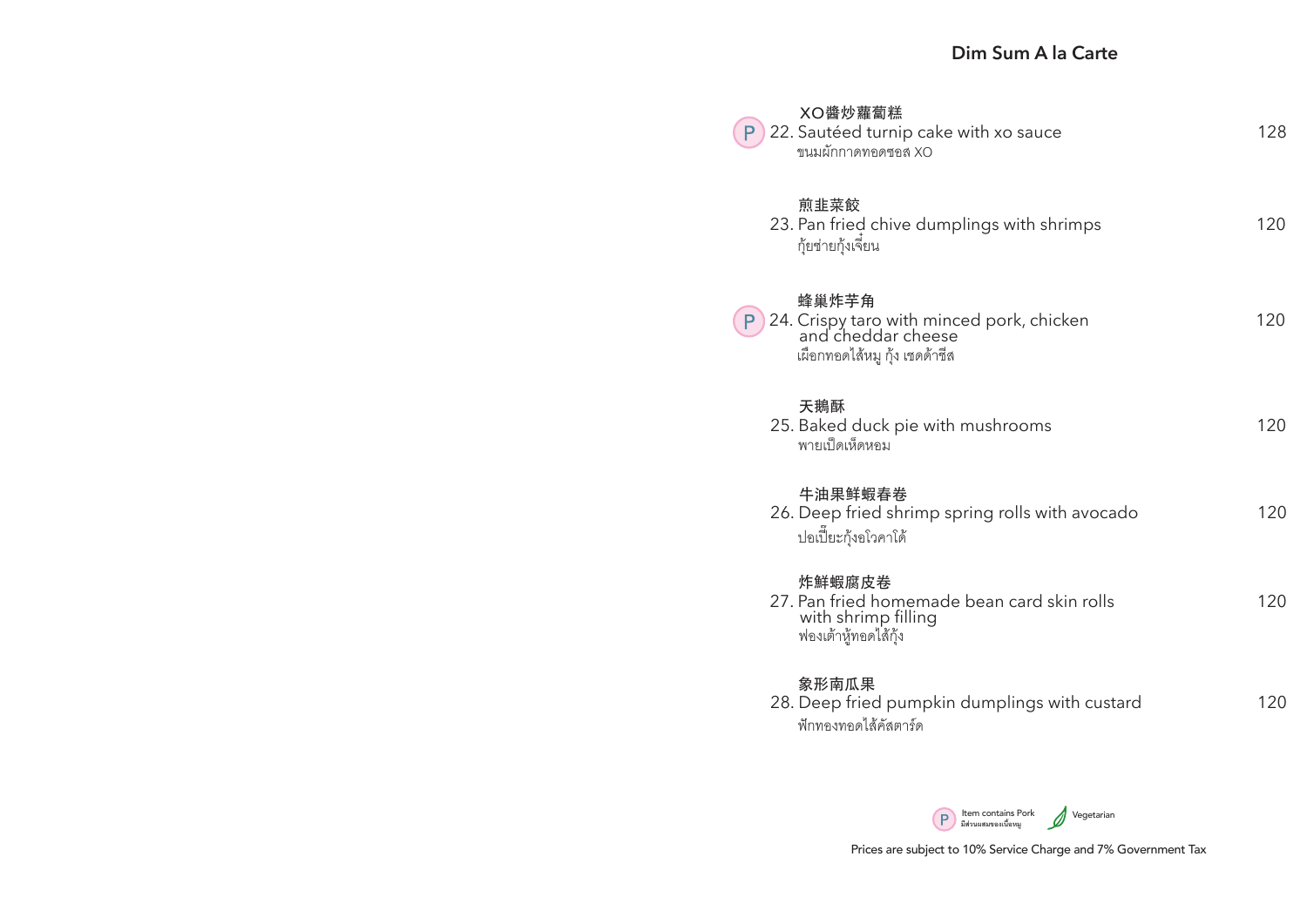| XO醬炒蘿蔔糕<br>22. Sautéed turnip cake with xo sauce<br>ขนมผักกาดทอดซอส XO                                         | 128 |
|----------------------------------------------------------------------------------------------------------------|-----|
| 煎韭菜餃<br>23. Pan fried chive dumplings with shrimps<br>กุ้ยช่ายกุ้งเจี่ยน                                       | 120 |
| 蜂巢炸芋角<br>24. Crispy taro with minced pork, chicken<br>and cheddar cheese<br>P<br>เผือกทอดไส้หมู กุ้ง เชดด้าชีส | 120 |
| 天鵝酥<br>25. Baked duck pie with mushrooms<br>พายเป็ดเห็ดหอม                                                     | 120 |
| 牛油果鲜蝦春卷<br>26. Deep fried shrimp spring rolls with avocado<br>ปอเปี้ยะกุ้งอโวคาโด้                             | 120 |
| 炸鮮蝦腐皮卷<br>27. Pan fried homemade bean card skin rolls<br>with shrimp filling<br>ฟองเต้าหู้ทอดไส้กุ้ง           | 120 |
| 象形南瓜果<br>28. Deep fried pumpkin dumplings with custard<br>ฟักทองทอดไส้คัสตาร์ด                                 | 120 |

Item contains Pork Vegetarian **มีสวนผสมของเนื้อหมู**